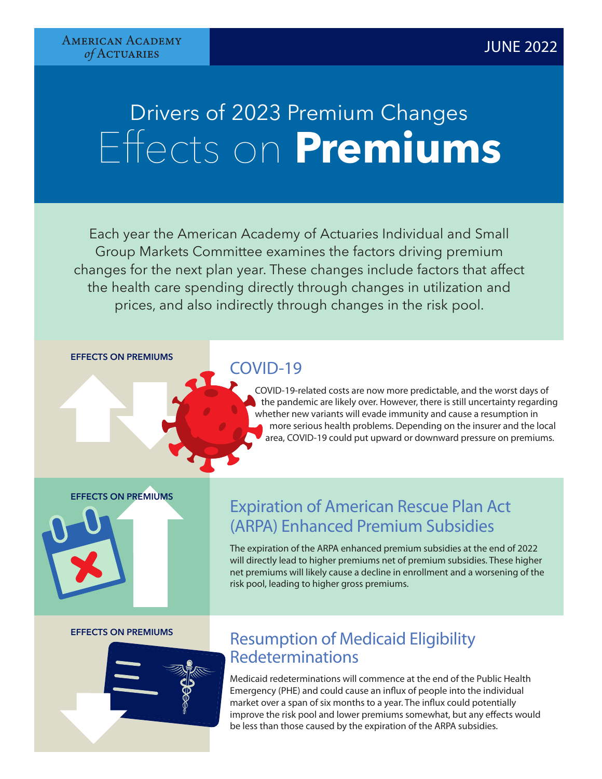## Drivers of 2023 Premium Changes Effects on **Premiums**

Each year the American Academy of Actuaries Individual and Small Group Markets Committee examines the factors driving premium changes for the next plan year. These changes include factors that affect the health care spending directly through changes in utilization and prices, and also indirectly through changes in the risk pool.

**EFFECTS ON PREMIUMS**

## COVID-19

 COVID-19-related costs are now more predictable, and the worst days of the pandemic are likely over. However, there is still uncertainty regarding whether new variants will evade immunity and cause a resumption in more serious health problems. Depending on the insurer and the local area, COVID-19 could put upward or downward pressure on premiums.

### **EFFECTS ON PREMIUMS**

# ON PREMIUMS

## Expiration of American Rescue Plan Act (ARPA) Enhanced Premium Subsidies

The expiration of the ARPA enhanced premium subsidies at the end of 2022 will directly lead to higher premiums net of premium subsidies. These higher net premiums will likely cause a decline in enrollment and a worsening of the risk pool, leading to higher gross premiums.

### **EFFECTS ON PREMIUMS**

## Resumption of Medicaid Eligibility Redeterminations

Medicaid redeterminations will commence at the end of the Public Health Emergency (PHE) and could cause an influx of people into the individual market over a span of six months to a year. The influx could potentially improve the risk pool and lower premiums somewhat, but any effects would be less than those caused by the expiration of the ARPA subsidies.